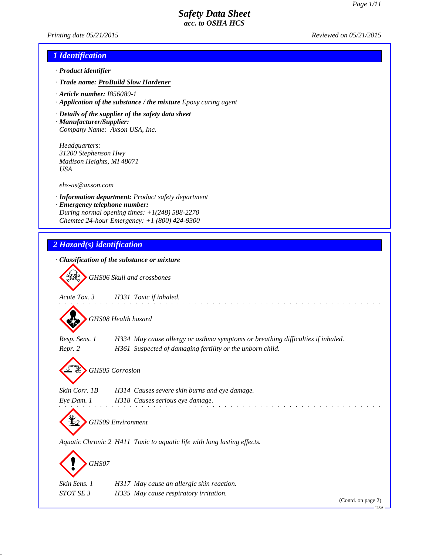*Printing date 05/21/2015 Reviewed on 05/21/2015*

# *1 Identification*

- *· Product identifier*
- *· Trade name: ProBuild Slow Hardener*
- *· Article number: I856089-1*
- *· Application of the substance / the mixture Epoxy curing agent*
- *· Details of the supplier of the safety data sheet*
- *· Manufacturer/Supplier: Company Name: Axson USA, Inc.*

*Headquarters: 31200 Stephenson Hwy Madison Heights, MI 48071 USA*

*ehs-us@axson.com*

- *· Information department: Product safety department*
- *· Emergency telephone number: During normal opening times: +1(248) 588-2270 Chemtec 24-hour Emergency: +1 (800) 424-9300*

# *2 Hazard(s) identification*

|                          | · Classification of the substance or mixture<br>GHS06 Skull and crossbones                                                                   |
|--------------------------|----------------------------------------------------------------------------------------------------------------------------------------------|
| Acute Tox. 3             | H331 Toxic if inhaled.                                                                                                                       |
|                          | GHS08 Health hazard                                                                                                                          |
| Resp. Sens. 1<br>Repr. 2 | H334 May cause allergy or asthma symptoms or breathing difficulties if inhaled.<br>H361 Suspected of damaging fertility or the unborn child. |
|                          | <b>GHS05</b> Corrosion                                                                                                                       |
| Eye Dam. 1               | Skin Corr. 1B H314 Causes severe skin burns and eye damage.<br>H318 Causes serious eye damage.                                               |
|                          | <b>GHS09</b> Environment                                                                                                                     |
|                          | Aquatic Chronic 2 H411 Toxic to aquatic life with long lasting effects.                                                                      |
| GHS07                    |                                                                                                                                              |
| Skin Sens. 1             | H317 May cause an allergic skin reaction.                                                                                                    |
| STOT SE 3                | H335 May cause respiratory irritation.<br>(Contd. on page 2)<br>∙USA −                                                                       |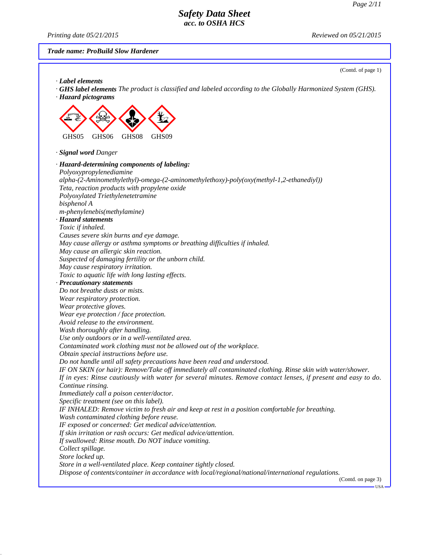*Printing date 05/21/2015 Reviewed on 05/21/2015*

#### *Trade name: ProBuild Slow Hardener*

(Contd. of page 1)

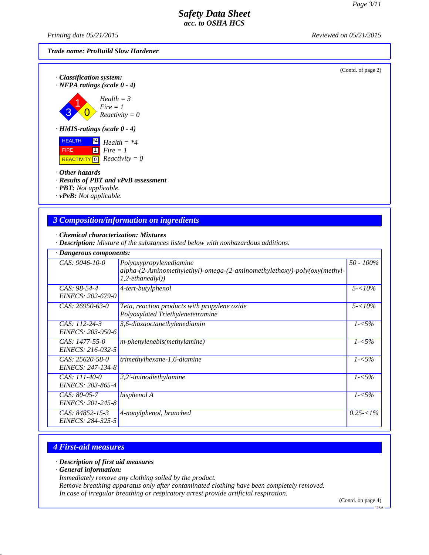*Printing date 05/21/2015 Reviewed on 05/21/2015*

*Trade name: ProBuild Slow Hardener*

(Contd. of page 2)



3  $\overline{0}$ *Fire = 1 Reactivity = 0*

*· HMIS-ratings (scale 0 - 4)*

 HEALTH FIRE  $\overline{REACTIVITY \, 0}$  *Reactivity = 0* \*4 *Health = \*4* 1 *Fire = 1*

*· Other hazards*

*· Results of PBT and vPvB assessment*

*· PBT: Not applicable.*

*· vPvB: Not applicable.*

# *3 Composition/information on ingredients*

*· Chemical characterization: Mixtures*

*· Description: Mixture of the substances listed below with nonhazardous additions.*

| · Dangerous components:                  |                                                                                                                            |              |  |  |
|------------------------------------------|----------------------------------------------------------------------------------------------------------------------------|--------------|--|--|
| $CAS: 9046-10-0$                         | Polyoxypropylenediamine<br>alpha-(2-Aminomethylethyl)-omega-(2-aminomethylethoxy)-poly(oxy(methyl-<br>$1, 2-eth an ediyl)$ | $50 - 100\%$ |  |  |
| $CAS: 98-54-4$<br>EINECS: 202-679-0      | 4-tert-butylphenol                                                                                                         | $5 - 10\%$   |  |  |
| $CAS: 26950-63-0$                        | Teta, reaction products with propylene oxide<br>Polyoxylated Triethylenetetramine                                          | $5 - 10\%$   |  |  |
| CAS: 112-24-3<br>EINECS: 203-950-6       | 3,6-diazaoctanethylenediamin                                                                                               | $1 - 5\%$    |  |  |
| $CAS: 1477-55-0$<br>EINECS: 216-032-5    | m-phenylenebis(methylamine)                                                                                                | $1 - 5\%$    |  |  |
| $CAS: 25620-58-0$<br>EINECS: 247-134-8   | trimethylhexane-1,6-diamine                                                                                                | $1 - 5\%$    |  |  |
| $CAS: 111-40-0$<br>EINECS: 203-865-4     | 2,2'-iminodiethylamine                                                                                                     | $1 - 5\%$    |  |  |
| CAS: 80-05-7<br><i>EINECS: 201-245-8</i> | bisphenol A                                                                                                                | $1 - 5\%$    |  |  |
| CAS: 84852-15-3<br>EINECS: 284-325-5     | 4-nonylphenol, branched                                                                                                    | $0.25 < l\%$ |  |  |

# *4 First-aid measures*

*· Description of first aid measures*

*· General information:*

*Immediately remove any clothing soiled by the product.*

*Remove breathing apparatus only after contaminated clothing have been completely removed. In case of irregular breathing or respiratory arrest provide artificial respiration.*

(Contd. on page 4)

 $-<sub>HSA</sub>$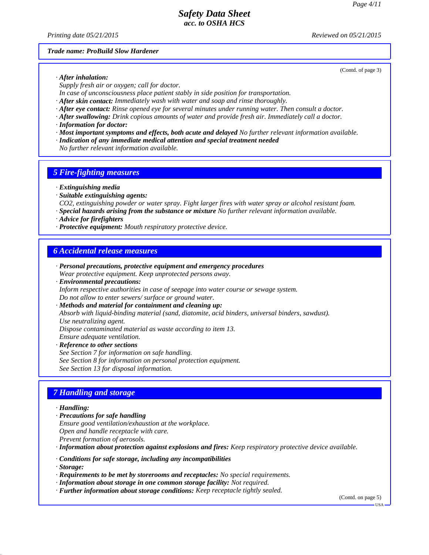*Printing date 05/21/2015 Reviewed on 05/21/2015*

#### *Trade name: ProBuild Slow Hardener*

*· After inhalation:*

*Supply fresh air or oxygen; call for doctor.*

*In case of unconsciousness place patient stably in side position for transportation.*

*· After skin contact: Immediately wash with water and soap and rinse thoroughly.*

*· After eye contact: Rinse opened eye for several minutes under running water. Then consult a doctor.*

*· After swallowing: Drink copious amounts of water and provide fresh air. Immediately call a doctor.*

*· Information for doctor:*

*· Most important symptoms and effects, both acute and delayed No further relevant information available.*

*· Indication of any immediate medical attention and special treatment needed*

*No further relevant information available.*

#### *5 Fire-fighting measures*

*· Extinguishing media*

*· Suitable extinguishing agents:*

*CO2, extinguishing powder or water spray. Fight larger fires with water spray or alcohol resistant foam.*

- *· Special hazards arising from the substance or mixture No further relevant information available.*
- *· Advice for firefighters*
- *· Protective equipment: Mouth respiratory protective device.*

### *6 Accidental release measures*

*· Personal precautions, protective equipment and emergency procedures Wear protective equipment. Keep unprotected persons away.*

*· Environmental precautions: Inform respective authorities in case of seepage into water course or sewage system. Do not allow to enter sewers/ surface or ground water.*

*· Methods and material for containment and cleaning up: Absorb with liquid-binding material (sand, diatomite, acid binders, universal binders, sawdust). Use neutralizing agent. Dispose contaminated material as waste according to item 13. Ensure adequate ventilation.*

*· Reference to other sections*

*See Section 7 for information on safe handling.*

*See Section 8 for information on personal protection equipment.*

*See Section 13 for disposal information.*

### *7 Handling and storage*

*· Handling:*

*· Precautions for safe handling*

*Ensure good ventilation/exhaustion at the workplace. Open and handle receptacle with care. Prevent formation of aerosols.*

*· Information about protection against explosions and fires: Keep respiratory protective device available.*

*· Conditions for safe storage, including any incompatibilities*

*· Storage:*

*· Requirements to be met by storerooms and receptacles: No special requirements.*

- *· Information about storage in one common storage facility: Not required.*
- *· Further information about storage conditions: Keep receptacle tightly sealed.*

(Contd. on page 5)

(Contd. of page 3)

USA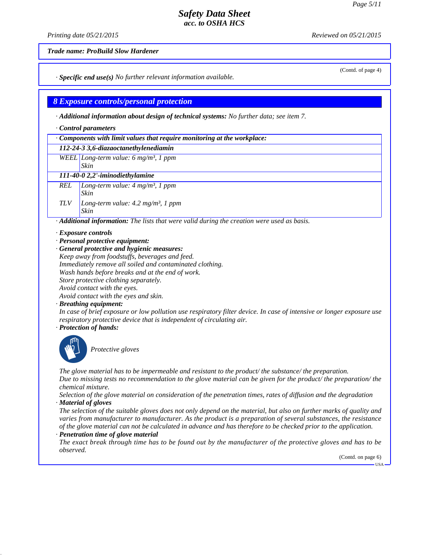(Contd. of page 4)

# *Safety Data Sheet acc. to OSHA HCS*

*Printing date 05/21/2015 Reviewed on 05/21/2015*

*Trade name: ProBuild Slow Hardener*

*· Specific end use(s) No further relevant information available.*

### *8 Exposure controls/personal protection*

*· Additional information about design of technical systems: No further data; see item 7.*

*· Control parameters*

| $\cdot$ Components with limit values that require monitoring at the workplace: |  |  |  |  |
|--------------------------------------------------------------------------------|--|--|--|--|
|                                                                                |  |  |  |  |

*112-24-3 3,6-diazaoctanethylenediamin*

*WEEL Long-term value: 6 mg/m³, 1 ppm*

*Skin 111-40-0 2,2'-iminodiethylamine*

*REL Long-term value: 4 mg/m³, 1 ppm Skin TLV Long-term value: 4.2 mg/m³, 1 ppm Skin*

*· Additional information: The lists that were valid during the creation were used as basis.*

*· Exposure controls*

- *· Personal protective equipment:*
- *· General protective and hygienic measures:*

*Keep away from foodstuffs, beverages and feed. Immediately remove all soiled and contaminated clothing. Wash hands before breaks and at the end of work. Store protective clothing separately. Avoid contact with the eyes.*

*Avoid contact with the eyes and skin.*

*· Breathing equipment:*

*In case of brief exposure or low pollution use respiratory filter device. In case of intensive or longer exposure use respiratory protective device that is independent of circulating air.*

*· Protection of hands:*



**Protective gloves** 

*The glove material has to be impermeable and resistant to the product/ the substance/ the preparation. Due to missing tests no recommendation to the glove material can be given for the product/ the preparation/ the chemical mixture.*

*Selection of the glove material on consideration of the penetration times, rates of diffusion and the degradation · Material of gloves*

*The selection of the suitable gloves does not only depend on the material, but also on further marks of quality and varies from manufacturer to manufacturer. As the product is a preparation of several substances, the resistance of the glove material can not be calculated in advance and has therefore to be checked prior to the application.*

*· Penetration time of glove material*

*The exact break through time has to be found out by the manufacturer of the protective gloves and has to be observed.*

(Contd. on page 6)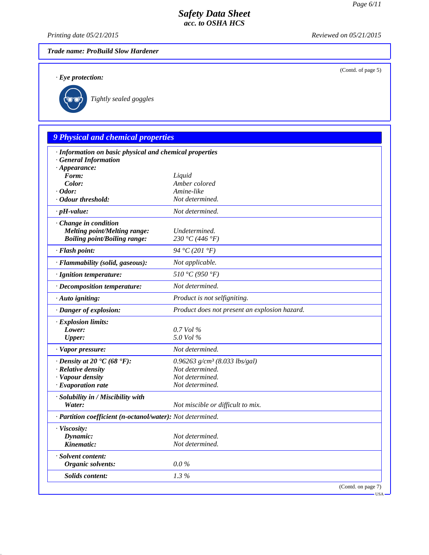(Contd. of page 5)

USA

### *Safety Data Sheet acc. to OSHA HCS*

*Printing date 05/21/2015 Reviewed on 05/21/2015*

*Trade name: ProBuild Slow Hardener*

*· Eye protection:*



`R*Tightly sealed goggles*

# *9 Physical and chemical properties · Information on basic physical and chemical properties · General Information · Appearance: Form: Liquid Color: Amber colored · Odor: Amine-like · Odour threshold: Not determined. · pH-value: Not determined. · Change in condition Melting point/Melting range: Undetermined. Boiling point/Boiling range: 230 °C (446 °F) · Flash point: 94 °C (201 °F) · Flammability (solid, gaseous): Not applicable. · Ignition temperature: 510 °C (950 °F) · Decomposition temperature: Not determined. · Auto igniting: Product is not selfigniting. · Danger of explosion: Product does not present an explosion hazard. · Explosion limits: Lower: 0.7 Vol % Upper: 5.0 Vol % · Vapor pressure: Not determined. · Density at 20 °C (68 °F): 0.96263 g/cm³ (8.033 lbs/gal) · Relative density Not determined. · Vapour density Not determined. · Evaporation rate Not determined. · Solubility in / Miscibility with Water: Not miscible or difficult to mix. · Partition coefficient (n-octanol/water): Not determined. · Viscosity: Dynamic: Not determined. Kinematic: Not determined. · Solvent content: Organic solvents: 0.0 % Solids content: 1.3 %* (Contd. on page 7)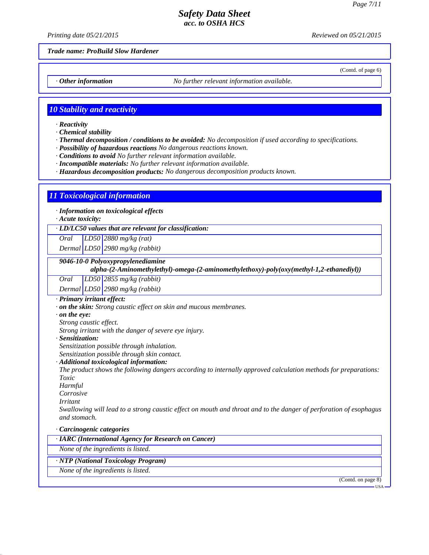(Contd. of page 6)

# *Safety Data Sheet acc. to OSHA HCS*

*Printing date 05/21/2015 Reviewed on 05/21/2015*

*Trade name: ProBuild Slow Hardener*

*· Other information No further relevant information available.*

# *10 Stability and reactivity*

*· Reactivity*

- *· Chemical stability*
- *· Thermal decomposition / conditions to be avoided: No decomposition if used according to specifications.*
- *· Possibility of hazardous reactions No dangerous reactions known.*
- *· Conditions to avoid No further relevant information available.*
- *· Incompatible materials: No further relevant information available.*
- *· Hazardous decomposition products: No dangerous decomposition products known.*

| $\cdot$ Acute toxicity: | · LD/LC50 values that are relevant for classification:                                                            |
|-------------------------|-------------------------------------------------------------------------------------------------------------------|
|                         |                                                                                                                   |
| Oral                    | $LD50$ 2880 mg/kg (rat)                                                                                           |
|                         | Dermal $LD50$ 2980 mg/kg (rabbit)                                                                                 |
|                         | 9046-10-0 Polyoxypropylenediamine                                                                                 |
|                         | alpha-(2-Aminomethylethyl)-omega-(2-aminomethylethoxy)-poly(oxy(methyl-1,2-ethanediyl))                           |
| Oral                    | LD50 2855 mg/kg (rabbit)                                                                                          |
|                         | Dermal $LD50$ 2980 mg/kg (rabbit)                                                                                 |
|                         | · Primary irritant effect:                                                                                        |
|                         | . on the skin: Strong caustic effect on skin and mucous membranes.                                                |
| $\cdot$ on the eye:     |                                                                                                                   |
|                         | Strong caustic effect.                                                                                            |
|                         | Strong irritant with the danger of severe eye injury.                                                             |
| · Sensitization:        |                                                                                                                   |
|                         | Sensitization possible through inhalation.                                                                        |
|                         | Sensitization possible through skin contact.                                                                      |
|                         | · Additional toxicological information:                                                                           |
|                         | The product shows the following dangers according to internally approved calculation methods for preparations:    |
| Toxic                   |                                                                                                                   |
| Harmful                 |                                                                                                                   |
| Corrosive               |                                                                                                                   |
| <b>Irritant</b>         |                                                                                                                   |
|                         | Swallowing will lead to a strong caustic effect on mouth and throat and to the danger of perforation of esophagus |
| and stomach.            |                                                                                                                   |
|                         | Carcinogenic categories                                                                                           |
|                         | · IARC (International Agency for Research on Cancer)                                                              |
|                         | None of the ingredients is listed.                                                                                |
|                         | · NTP (National Toxicology Program)                                                                               |
|                         | None of the ingredients is listed.                                                                                |
|                         | (Contd. on page 8)                                                                                                |
|                         |                                                                                                                   |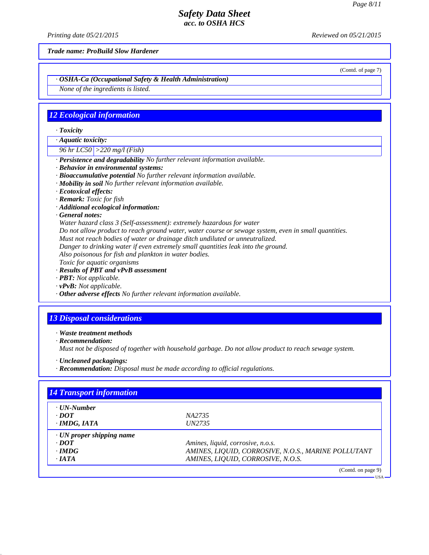*Printing date 05/21/2015 Reviewed on 05/21/2015*

*Trade name: ProBuild Slow Hardener*

(Contd. of page 7)

*· OSHA-Ca (Occupational Safety & Health Administration)*

*None of the ingredients is listed.*

# *12 Ecological information*

*· Toxicity*

*· Aquatic toxicity:*

*96 hr LC50 >220 mg/l (Fish)*

- *· Persistence and degradability No further relevant information available.*
- *· Behavior in environmental systems:*
- *· Bioaccumulative potential No further relevant information available.*
- *· Mobility in soil No further relevant information available.*
- *· Ecotoxical effects:*
- *· Remark: Toxic for fish*
- *· Additional ecological information:*
- *· General notes:*

*Water hazard class 3 (Self-assessment): extremely hazardous for water*

*Do not allow product to reach ground water, water course or sewage system, even in small quantities.*

*Must not reach bodies of water or drainage ditch undiluted or unneutralized.*

*Danger to drinking water if even extremely small quantities leak into the ground.*

*Also poisonous for fish and plankton in water bodies.*

*Toxic for aquatic organisms*

- *· Results of PBT and vPvB assessment*
- *· PBT: Not applicable.*
- *· vPvB: Not applicable.*
- *· Other adverse effects No further relevant information available.*

# *13 Disposal considerations*

- *· Waste treatment methods*
- *· Recommendation:*

*Must not be disposed of together with household garbage. Do not allow product to reach sewage system.*

- *· Uncleaned packagings:*
- *· Recommendation: Disposal must be made according to official regulations.*

| $\cdot$ UN-Number               |                                                     |
|---------------------------------|-----------------------------------------------------|
| $\cdot$ <i>DOT</i>              | NA2735                                              |
| $\cdot$ IMDG, IATA              | <i>UN2735</i>                                       |
| $\cdot$ UN proper shipping name |                                                     |
| $\cdot$ DOT                     | Amines, liquid, corrosive, n.o.s.                   |
| $\cdot$ IMDG                    | AMINES, LIQUID, CORROSIVE, N.O.S., MARINE POLLUTANT |
| $\cdot$ IATA                    | AMINES, LIQUID, CORROSIVE, N.O.S.                   |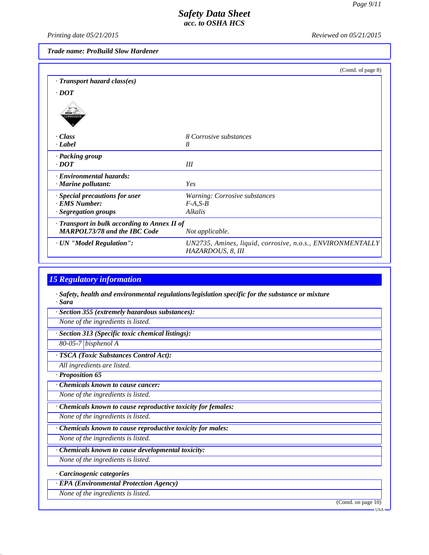*Printing date 05/21/2015 Reviewed on 05/21/2015*

*Trade name: ProBuild Slow Hardener*

|                                              | (Contd. of page 8)                                                              |
|----------------------------------------------|---------------------------------------------------------------------------------|
| $\cdot$ Transport hazard class(es)           |                                                                                 |
| $\cdot$ DOT                                  |                                                                                 |
|                                              |                                                                                 |
| $\cdot$ Class                                | 8 Corrosive substances                                                          |
| · Label                                      | 8                                                                               |
| · Packing group                              |                                                                                 |
| $\cdot$ DOT                                  | Ш                                                                               |
| · Environmental hazards:                     |                                                                                 |
| · Marine pollutant:                          | Yes                                                                             |
| · Special precautions for user               | Warning: Corrosive substances                                                   |
| · EMS Number:                                | $F-A, S-B$                                                                      |
| · Segregation groups                         | Alkalis                                                                         |
| · Transport in bulk according to Annex II of |                                                                                 |
| <b>MARPOL73/78 and the IBC Code</b>          | Not applicable.                                                                 |
| · UN "Model Regulation":                     | UN2735, Amines, liquid, corrosive, n.o.s., ENVIRONMENTALLY<br>HAZARDOUS, 8, III |

# *15 Regulatory information*

*· Safety, health and environmental regulations/legislation specific for the substance or mixture · Sara*

*· Section 355 (extremely hazardous substances):*

*None of the ingredients is listed.*

*· Section 313 (Specific toxic chemical listings):*

*80-05-7 bisphenol A*

*· TSCA (Toxic Substances Control Act):*

*All ingredients are listed.*

*· Proposition 65*

*· Chemicals known to cause cancer:*

*None of the ingredients is listed.*

*· Chemicals known to cause reproductive toxicity for females:*

*None of the ingredients is listed.*

*· Chemicals known to cause reproductive toxicity for males:*

*None of the ingredients is listed.*

*· Chemicals known to cause developmental toxicity:*

*None of the ingredients is listed.*

*· Carcinogenic categories*

*· EPA (Environmental Protection Agency)*

*None of the ingredients is listed.*

(Contd. on page 10)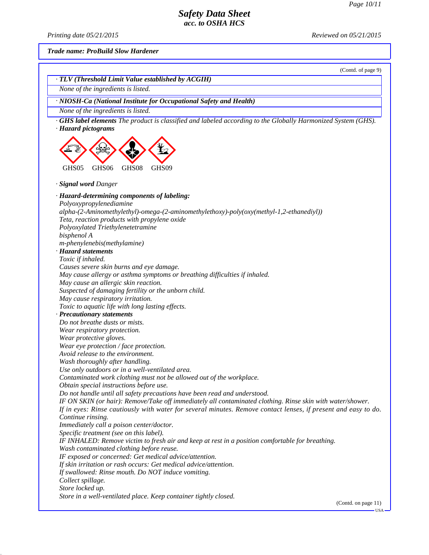*Printing date 05/21/2015 Reviewed on 05/21/2015*

*Trade name: ProBuild Slow Hardener*

(Contd. of page 9)

*· TLV (Threshold Limit Value established by ACGIH)*

*None of the ingredients is listed.*

*· NIOSH-Ca (National Institute for Occupational Safety and Health)*

*None of the ingredients is listed.*

*· GHS label elements The product is classified and labeled according to the Globally Harmonized System (GHS). · Hazard pictograms*



# *· Signal word Danger*

*· Hazard-determining components of labeling: Polyoxypropylenediamine alpha-(2-Aminomethylethyl)-omega-(2-aminomethylethoxy)-poly(oxy(methyl-1,2-ethanediyl)) Teta, reaction products with propylene oxide Polyoxylated Triethylenetetramine bisphenol A m-phenylenebis(methylamine) · Hazard statements Toxic if inhaled. Causes severe skin burns and eye damage. May cause allergy or asthma symptoms or breathing difficulties if inhaled. May cause an allergic skin reaction. Suspected of damaging fertility or the unborn child. May cause respiratory irritation. Toxic to aquatic life with long lasting effects. · Precautionary statements Do not breathe dusts or mists. Wear respiratory protection. Wear protective gloves. Wear eye protection / face protection. Avoid release to the environment. Wash thoroughly after handling. Use only outdoors or in a well-ventilated area. Contaminated work clothing must not be allowed out of the workplace. Obtain special instructions before use. Do not handle until all safety precautions have been read and understood. IF ON SKIN (or hair): Remove/Take off immediately all contaminated clothing. Rinse skin with water/shower. If in eyes: Rinse cautiously with water for several minutes. Remove contact lenses, if present and easy to do. Continue rinsing. Immediately call a poison center/doctor. Specific treatment (see on this label). IF INHALED: Remove victim to fresh air and keep at rest in a position comfortable for breathing. Wash contaminated clothing before reuse. IF exposed or concerned: Get medical advice/attention. If skin irritation or rash occurs: Get medical advice/attention. If swallowed: Rinse mouth. Do NOT induce vomiting. Collect spillage. Store locked up. Store in a well-ventilated place. Keep container tightly closed.* (Contd. on page 11)